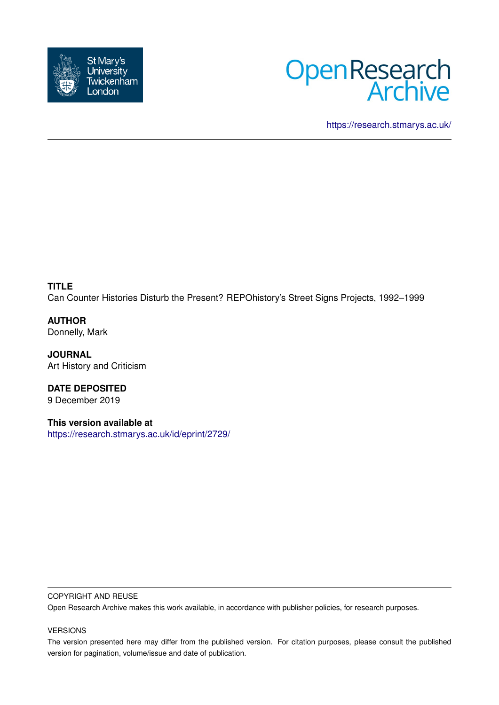



<https://research.stmarys.ac.uk/>

**TITLE** Can Counter Histories Disturb the Present? REPOhistory's Street Signs Projects, 1992–1999

**AUTHOR** Donnelly, Mark

**JOURNAL** Art History and Criticism

**DATE DEPOSITED** 9 December 2019

**This version available at** <https://research.stmarys.ac.uk/id/eprint/2729/>

## COPYRIGHT AND REUSE

Open Research Archive makes this work available, in accordance with publisher policies, for research purposes.

## VERSIONS

The version presented here may differ from the published version. For citation purposes, please consult the published version for pagination, volume/issue and date of publication.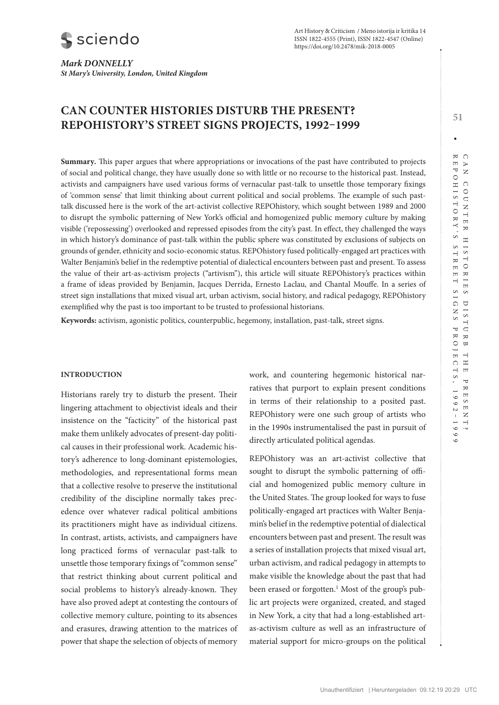*Mark DONNELLY St Mary's University, London, United Kingdom*

# **CAN COUNTER HISTORIES DISTURB THE PRESENT? REPOHISTORY'S STREET SIGNS PROJECTS, 1992–1999**

**Summary***.* This paper argues that where appropriations or invocations of the past have contributed to projects of social and political change, they have usually done so with little or no recourse to the historical past. Instead, activists and campaigners have used various forms of vernacular past-talk to unsettle those temporary fixings of 'common sense' that limit thinking about current political and social problems. The example of such pasttalk discussed here is the work of the art-activist collective REPOhistory, which sought between 1989 and 2000 to disrupt the symbolic patterning of New York's official and homogenized public memory culture by making visible ('repossessing') overlooked and repressed episodes from the city's past. In effect, they challenged the ways in which history's dominance of past-talk within the public sphere was constituted by exclusions of subjects on grounds of gender, ethnicity and socio-economic status. REPOhistory fused politically-engaged art practices with Walter Benjamin's belief in the redemptive potential of dialectical encounters between past and present. To assess the value of their art-as-activism projects ("artivism"), this article will situate REPOhistory's practices within a frame of ideas provided by Benjamin, Jacques Derrida, Ernesto Laclau, and Chantal Mouffe. In a series of street sign installations that mixed visual art, urban activism, social history, and radical pedagogy, REPOhistory exemplified why the past is too important to be trusted to professional historians.

**Keywords:** activism, agonistic politics, counterpublic, hegemony, installation, past-talk, street signs.

## **INTRODUCTION**

Historians rarely try to disturb the present. Their lingering attachment to objectivist ideals and their insistence on the "facticity" of the historical past make them unlikely advocates of present-day political causes in their professional work. Academic history's adherence to long-dominant epistemologies, methodologies, and representational forms mean that a collective resolve to preserve the institutional credibility of the discipline normally takes precedence over whatever radical political ambitions its practitioners might have as individual citizens. In contrast, artists, activists, and campaigners have long practiced forms of vernacular past-talk to unsettle those temporary fixings of "common sense" that restrict thinking about current political and social problems to history's already-known. They have also proved adept at contesting the contours of collective memory culture, pointing to its absences and erasures, drawing attention to the matrices of power that shape the selection of objects of memory

work, and countering hegemonic historical narratives that purport to explain present conditions in terms of their relationship to a posited past. REPOhistory were one such group of artists who in the 1990s instrumentalised the past in pursuit of directly articulated political agendas.

REPOhistory was an art-activist collective that sought to disrupt the symbolic patterning of official and homogenized public memory culture in the United States. The group looked for ways to fuse politically-engaged art practices with Walter Benjamin's belief in the redemptive potential of dialectical encounters between past and present. The result was a series of installation projects that mixed visual art, urban activism, and radical pedagogy in attempts to make visible the knowledge about the past that had been erased or forgotten.<sup>1</sup> Most of the group's public art projects were organized, created, and staged in New York, a city that had a long-established artas-activism culture as well as an infrastructure of material support for micro-groups on the political

**51**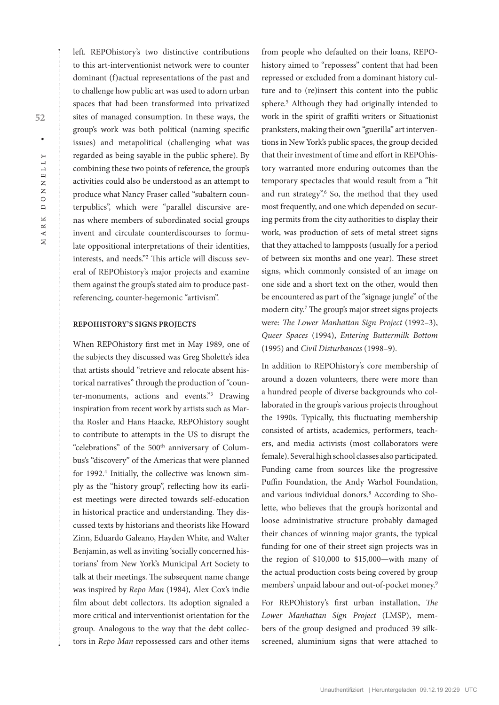$\overline{\mathbf{X}}$ 

left. REPOhistory's two distinctive contributions to this art-interventionist network were to counter dominant (f)actual representations of the past and to challenge how public art was used to adorn urban spaces that had been transformed into privatized sites of managed consumption. In these ways, the group's work was both political (naming specific issues) and metapolitical (challenging what was regarded as being sayable in the public sphere). By combining these two points of reference, the group's activities could also be understood as an attempt to produce what Nancy Fraser called "subaltern counterpublics", which were "parallel discursive arenas where members of subordinated social groups invent and circulate counterdiscourses to formulate oppositional interpretations of their identities, interests, and needs."2 This article will discuss several of REPOhistory's major projects and examine them against the group's stated aim to produce pastreferencing, counter-hegemonic "artivism".

#### **REPOHISTORY'S SIGNS PROJECTS**

When REPOhistory first met in May 1989, one of the subjects they discussed was Greg Sholette's idea that artists should "retrieve and relocate absent historical narratives" through the production of "counter-monuments, actions and events."3 Drawing inspiration from recent work by artists such as Martha Rosler and Hans Haacke, REPOhistory sought to contribute to attempts in the US to disrupt the "celebrations" of the 500<sup>th</sup> anniversary of Columbus's "discovery" of the Americas that were planned for 1992.4 Initially, the collective was known simply as the "history group", reflecting how its earliest meetings were directed towards self-education in historical practice and understanding. They discussed texts by historians and theorists like Howard Zinn, Eduardo Galeano, Hayden White, and Walter Benjamin, as well as inviting 'socially concerned historians' from New York's Municipal Art Society to talk at their meetings. The subsequent name change was inspired by *Repo Man* (1984)*,* Alex Cox's indie film about debt collectors. Its adoption signaled a more critical and interventionist orientation for the group. Analogous to the way that the debt collectors in *Repo Man* repossessed cars and other items from people who defaulted on their loans, REPOhistory aimed to "repossess" content that had been repressed or excluded from a dominant history culture and to (re)insert this content into the public sphere.5 Although they had originally intended to work in the spirit of graffiti writers or Situationist pranksters, making their own "guerilla" art interventions in New York's public spaces, the group decided that their investment of time and effort in REPOhistory warranted more enduring outcomes than the temporary spectacles that would result from a "hit and run strategy".6 So, the method that they used most frequently, and one which depended on securing permits from the city authorities to display their work, was production of sets of metal street signs that they attached to lampposts (usually for a period of between six months and one year). These street signs, which commonly consisted of an image on one side and a short text on the other, would then be encountered as part of the "signage jungle" of the modern city.7 The group's major street signs projects were: *The Lower Manhattan Sign Project* (1992–3), *Queer Spaces* (1994), *Entering Buttermilk Bottom* (1995) and *Civil Disturbances* (1998–9).

In addition to REPOhistory's core membership of around a dozen volunteers, there were more than a hundred people of diverse backgrounds who collaborated in the group's various projects throughout the 1990s. Typically, this fluctuating membership consisted of artists, academics, performers, teachers, and media activists (most collaborators were female). Several high school classes also participated. Funding came from sources like the progressive Puffin Foundation, the Andy Warhol Foundation, and various individual donors.<sup>8</sup> According to Sholette, who believes that the group's horizontal and loose administrative structure probably damaged their chances of winning major grants, the typical funding for one of their street sign projects was in the region of \$10,000 to \$15,000—with many of the actual production costs being covered by group members' unpaid labour and out-of-pocket money.9

For REPOhistory's first urban installation, *The Lower Manhattan Sign Project* (LMSP), members of the group designed and produced 39 silkscreened, aluminium signs that were attached to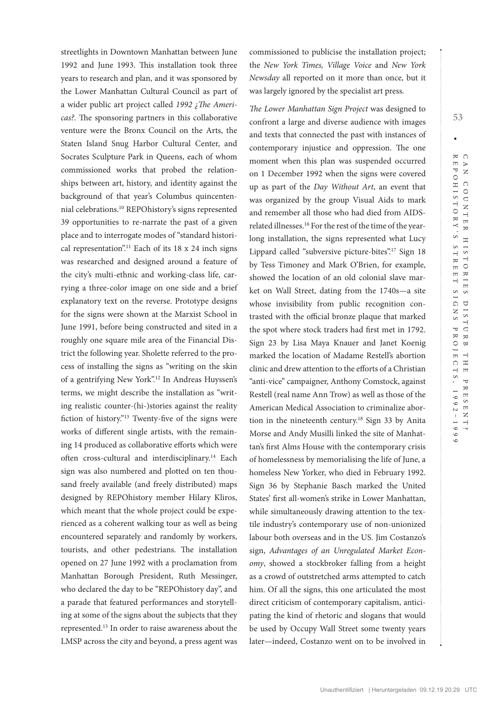streetlights in Downtown Manhattan between June 1992 and June 1993. This installation took three years to research and plan, and it was sponsored by the Lower Manhattan Cultural Council as part of a wider public art project called *1992 ¿The Americas?*. The sponsoring partners in this collaborative venture were the Bronx Council on the Arts, the Staten Island Snug Harbor Cultural Center, and Socrates Sculpture Park in Queens, each of whom commissioned works that probed the relationships between art, history, and identity against the background of that year's Columbus quincentennial celebrations.10 REPOhistory's signs represented 39 opportunities to re-narrate the past of a given place and to interrogate modes of "standard historical representation".<sup>11</sup> Each of its 18 x 24 inch signs was researched and designed around a feature of the city's multi-ethnic and working-class life, carrying a three-color image on one side and a brief explanatory text on the reverse. Prototype designs for the signs were shown at the Marxist School in June 1991, before being constructed and sited in a roughly one square mile area of the Financial District the following year. Sholette referred to the process of installing the signs as "writing on the skin of a gentrifying New York".12 In Andreas Huyssen's terms, we might describe the installation as "writing realistic counter-(hi-)stories against the reality fiction of history."13 Twenty-five of the signs were works of different single artists, with the remaining 14 produced as collaborative efforts which were often cross-cultural and interdisciplinary.<sup>14</sup> Each sign was also numbered and plotted on ten thousand freely available (and freely distributed) maps designed by REPOhistory member Hilary Kliros, which meant that the whole project could be experienced as a coherent walking tour as well as being encountered separately and randomly by workers, tourists, and other pedestrians. The installation opened on 27 June 1992 with a proclamation from Manhattan Borough President, Ruth Messinger, who declared the day to be "REPOhistory day", and a parade that featured performances and storytelling at some of the signs about the subjects that they represented.15 In order to raise awareness about the LMSP across the city and beyond, a press agent was

commissioned to publicise the installation project; the *New York Times, Village Voice* and *New York Newsday* all reported on it more than once, but it was largely ignored by the specialist art press.

*The Lower Manhattan Sign Project* was designed to confront a large and diverse audience with images and texts that connected the past with instances of contemporary injustice and oppression. The one moment when this plan was suspended occurred on 1 December 1992 when the signs were covered up as part of the *Day Without Art*, an event that was organized by the group Visual Aids to mark and remember all those who had died from AIDSrelated illnesses.16 For the rest of the time of the yearlong installation, the signs represented what Lucy Lippard called "subversive picture-bites".17 Sign 18 by Tess Timoney and Mark O'Brien, for example, showed the location of an old colonial slave market on Wall Street, dating from the 1740s—a site whose invisibility from public recognition contrasted with the official bronze plaque that marked the spot where stock traders had first met in 1792. Sign 23 by Lisa Maya Knauer and Janet Koenig marked the location of Madame Restell's abortion clinic and drew attention to the efforts of a Christian "anti-vice" campaigner, Anthony Comstock, against Restell (real name Ann Trow) as well as those of the American Medical Association to criminalize abortion in the nineteenth century.18 Sign 33 by Anita Morse and Andy Musilli linked the site of Manhattan's first Alms House with the contemporary crisis of homelessness by memorialising the life of June, a homeless New Yorker, who died in February 1992. Sign 36 by Stephanie Basch marked the United States' first all-women's strike in Lower Manhattan, while simultaneously drawing attention to the textile industry's contemporary use of non-unionized labour both overseas and in the US. Jim Costanzo's sign, *Advantages of an Unregulated Market Economy*, showed a stockbroker falling from a height as a crowd of outstretched arms attempted to catch him. Of all the signs, this one articulated the most direct criticism of contemporary capitalism, anticipating the kind of rhetoric and slogans that would be used by Occupy Wall Street some twenty years later—indeed, Costanzo went on to be involved in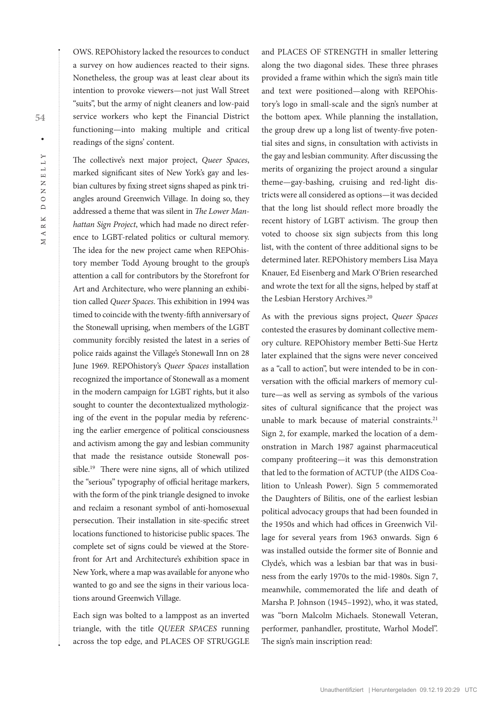OWS. REPOhistory lacked the resources to conduct a survey on how audiences reacted to their signs. Nonetheless, the group was at least clear about its intention to provoke viewers—not just Wall Street "suits", but the army of night cleaners and low-paid service workers who kept the Financial District functioning—into making multiple and critical readings of the signs' content.

The collective's next major project, *Queer Spaces*, marked significant sites of New York's gay and lesbian cultures by fixing street signs shaped as pink triangles around Greenwich Village. In doing so, they addressed a theme that was silent in *The Lower Manhattan Sign Project*, which had made no direct reference to LGBT-related politics or cultural memory. The idea for the new project came when REPOhistory member Todd Ayoung brought to the group's attention a call for contributors by the Storefront for Art and Architecture, who were planning an exhibition called *Queer Spaces*. This exhibition in 1994 was timed to coincide with the twenty-fifth anniversary of the Stonewall uprising, when members of the LGBT community forcibly resisted the latest in a series of police raids against the Village's Stonewall Inn on 28 June 1969. REPOhistory's *Queer Spaces* installation recognized the importance of Stonewall as a moment in the modern campaign for LGBT rights, but it also sought to counter the decontextualized mythologizing of the event in the popular media by referencing the earlier emergence of political consciousness and activism among the gay and lesbian community that made the resistance outside Stonewall possible.<sup>19</sup> There were nine signs, all of which utilized the "serious" typography of official heritage markers, with the form of the pink triangle designed to invoke and reclaim a resonant symbol of anti-homosexual persecution. Their installation in site-specific street locations functioned to historicise public spaces. The complete set of signs could be viewed at the Storefront for Art and Architecture's exhibition space in New York, where a map was available for anyone who wanted to go and see the signs in their various locations around Greenwich Village.

Each sign was bolted to a lamppost as an inverted triangle, with the title *QUEER SPACES* running across the top edge, and PLACES OF STRUGGLE

and PLACES OF STRENGTH in smaller lettering along the two diagonal sides. These three phrases provided a frame within which the sign's main title and text were positioned—along with REPOhistory's logo in small-scale and the sign's number at the bottom apex. While planning the installation, the group drew up a long list of twenty-five potential sites and signs, in consultation with activists in the gay and lesbian community. After discussing the merits of organizing the project around a singular theme—gay-bashing, cruising and red-light districts were all considered as options—it was decided that the long list should reflect more broadly the recent history of LGBT activism. The group then voted to choose six sign subjects from this long list, with the content of three additional signs to be determined later. REPOhistory members Lisa Maya Knauer, Ed Eisenberg and Mark O'Brien researched and wrote the text for all the signs, helped by staff at the Lesbian Herstory Archives.<sup>20</sup>

As with the previous signs project, *Queer Spaces* contested the erasures by dominant collective memory culture. REPOhistory member Betti-Sue Hertz later explained that the signs were never conceived as a "call to action", but were intended to be in conversation with the official markers of memory culture—as well as serving as symbols of the various sites of cultural significance that the project was unable to mark because of material constraints.<sup>21</sup> Sign 2, for example, marked the location of a demonstration in March 1987 against pharmaceutical company profiteering—it was this demonstration that led to the formation of ACTUP (the AIDS Coalition to Unleash Power). Sign 5 commemorated the Daughters of Bilitis, one of the earliest lesbian political advocacy groups that had been founded in the 1950s and which had offices in Greenwich Village for several years from 1963 onwards. Sign 6 was installed outside the former site of Bonnie and Clyde's, which was a lesbian bar that was in business from the early 1970s to the mid-1980s. Sign 7, meanwhile, commemorated the life and death of Marsha P. Johnson (1945–1992), who, it was stated, was "born Malcolm Michaels. Stonewall Veteran, performer, panhandler, prostitute, Warhol Model". The sign's main inscription read:

ARK  $\geq$ 

**54**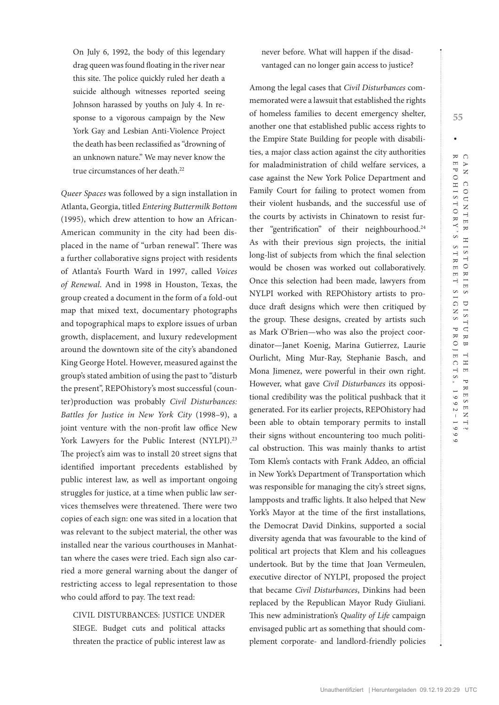On July 6, 1992, the body of this legendary drag queen was found floating in the river near this site. The police quickly ruled her death a suicide although witnesses reported seeing Johnson harassed by youths on July 4. In response to a vigorous campaign by the New York Gay and Lesbian Anti-Violence Project the death has been reclassified as "drowning of an unknown nature." We may never know the true circumstances of her death.<sup>22</sup>

*Queer Spaces* was followed by a sign installation in Atlanta, Georgia, titled *Entering Buttermilk Bottom* (1995), which drew attention to how an African-American community in the city had been displaced in the name of "urban renewal". There was a further collaborative signs project with residents of Atlanta's Fourth Ward in 1997, called *Voices of Renewal*. And in 1998 in Houston, Texas, the group created a document in the form of a fold-out map that mixed text, documentary photographs and topographical maps to explore issues of urban growth, displacement, and luxury redevelopment around the downtown site of the city's abandoned King George Hotel. However, measured against the group's stated ambition of using the past to "disturb the present", REPOhistory's most successful (counter)production was probably *Civil Disturbances: Battles for Justice in New York City* (1998–9), a joint venture with the non-profit law office New York Lawyers for the Public Interest (NYLPI).<sup>23</sup> The project's aim was to install 20 street signs that identified important precedents established by public interest law, as well as important ongoing struggles for justice, at a time when public law services themselves were threatened. There were two copies of each sign: one was sited in a location that was relevant to the subject material, the other was installed near the various courthouses in Manhattan where the cases were tried. Each sign also carried a more general warning about the danger of restricting access to legal representation to those who could afford to pay. The text read:

CIVIL DISTURBANCES: JUSTICE UNDER SIEGE. Budget cuts and political attacks threaten the practice of public interest law as

never before. What will happen if the disadvantaged can no longer gain access to justice?

Among the legal cases that *Civil Disturbances* commemorated were a lawsuit that established the rights of homeless families to decent emergency shelter, another one that established public access rights to the Empire State Building for people with disabilities, a major class action against the city authorities for maladministration of child welfare services, a case against the New York Police Department and Family Court for failing to protect women from their violent husbands, and the successful use of the courts by activists in Chinatown to resist further "gentrification" of their neighbourhood.<sup>24</sup> As with their previous sign projects, the initial long-list of subjects from which the final selection would be chosen was worked out collaboratively. Once this selection had been made, lawyers from NYLPI worked with REPOhistory artists to produce draft designs which were then critiqued by the group. These designs, created by artists such as Mark O'Brien—who was also the project coordinator—Janet Koenig, Marina Gutierrez, Laurie Ourlicht, Ming Mur-Ray, Stephanie Basch, and Mona Jimenez, were powerful in their own right. However, what gave *Civil Disturbances* its oppositional credibility was the political pushback that it generated. For its earlier projects, REPOhistory had been able to obtain temporary permits to install their signs without encountering too much political obstruction. This was mainly thanks to artist Tom Klem's contacts with Frank Addeo, an official in New York's Department of Transportation which was responsible for managing the city's street signs, lampposts and traffic lights. It also helped that New York's Mayor at the time of the first installations, the Democrat David Dinkins, supported a social diversity agenda that was favourable to the kind of political art projects that Klem and his colleagues undertook. But by the time that Joan Vermeulen, executive director of NYLPI, proposed the project that became *Civil Disturbances*, Dinkins had been replaced by the Republican Mayor Rudy Giuliani. This new administration's *Quality of Life* campaign envisaged public art as something that should complement corporate- and landlord-friendly policies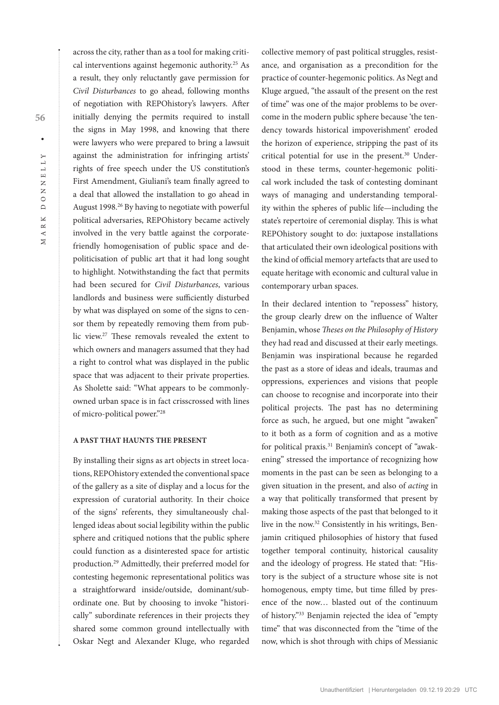across the city, rather than as a tool for making critical interventions against hegemonic authority.25 As a result, they only reluctantly gave permission for *Civil Disturbances* to go ahead, following months of negotiation with REPOhistory's lawyers. After initially denying the permits required to install the signs in May 1998, and knowing that there were lawyers who were prepared to bring a lawsuit against the administration for infringing artists' rights of free speech under the US constitution's First Amendment, Giuliani's team finally agreed to a deal that allowed the installation to go ahead in August 1998.26 By having to negotiate with powerful political adversaries, REPOhistory became actively involved in the very battle against the corporatefriendly homogenisation of public space and depoliticisation of public art that it had long sought to highlight. Notwithstanding the fact that permits had been secured for *Civil Disturbances*, various landlords and business were sufficiently disturbed by what was displayed on some of the signs to censor them by repeatedly removing them from public view.27 These removals revealed the extent to which owners and managers assumed that they had a right to control what was displayed in the public space that was adjacent to their private properties. As Sholette said: "What appears to be commonlyowned urban space is in fact crisscrossed with lines of micro-political power."28

#### **A PAST THAT HAUNTS THE PRESENT**

By installing their signs as art objects in street locations, REPOhistory extended the conventional space of the gallery as a site of display and a locus for the expression of curatorial authority. In their choice of the signs' referents, they simultaneously challenged ideas about social legibility within the public sphere and critiqued notions that the public sphere could function as a disinterested space for artistic production.29 Admittedly, their preferred model for contesting hegemonic representational politics was a straightforward inside/outside, dominant/subordinate one. But by choosing to invoke "historically" subordinate references in their projects they shared some common ground intellectually with Oskar Negt and Alexander Kluge, who regarded

collective memory of past political struggles, resistance, and organisation as a precondition for the practice of counter-hegemonic politics. As Negt and Kluge argued, "the assault of the present on the rest of time" was one of the major problems to be overcome in the modern public sphere because 'the tendency towards historical impoverishment' eroded the horizon of experience, stripping the past of its critical potential for use in the present.30 Understood in these terms, counter-hegemonic political work included the task of contesting dominant ways of managing and understanding temporality within the spheres of public life—including the state's repertoire of ceremonial display. This is what REPOhistory sought to do: juxtapose installations that articulated their own ideological positions with the kind of official memory artefacts that are used to equate heritage with economic and cultural value in contemporary urban spaces.

In their declared intention to "repossess" history, the group clearly drew on the influence of Walter Benjamin, whose *Theses on the Philosophy of History* they had read and discussed at their early meetings. Benjamin was inspirational because he regarded the past as a store of ideas and ideals, traumas and oppressions, experiences and visions that people can choose to recognise and incorporate into their political projects. The past has no determining force as such, he argued, but one might "awaken" to it both as a form of cognition and as a motive for political praxis.<sup>31</sup> Benjamin's concept of "awakening" stressed the importance of recognizing how moments in the past can be seen as belonging to a given situation in the present, and also of *acting* in a way that politically transformed that present by making those aspects of the past that belonged to it live in the now.32 Consistently in his writings, Benjamin critiqued philosophies of history that fused together temporal continuity, historical causality and the ideology of progress. He stated that: "History is the subject of a structure whose site is not homogenous, empty time, but time filled by presence of the now… blasted out of the continuum of history."33 Benjamin rejected the idea of "empty time" that was disconnected from the "time of the now, which is shot through with chips of Messianic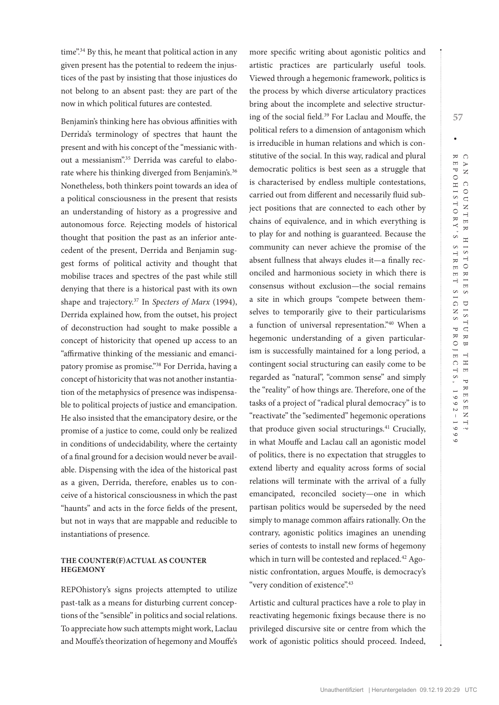time".<sup>34</sup> By this, he meant that political action in any given present has the potential to redeem the injustices of the past by insisting that those injustices do not belong to an absent past: they are part of the now in which political futures are contested.

Benjamin's thinking here has obvious affinities with Derrida's terminology of spectres that haunt the present and with his concept of the "messianic without a messianism".<sup>35</sup> Derrida was careful to elaborate where his thinking diverged from Benjamin's.<sup>36</sup> Nonetheless, both thinkers point towards an idea of a political consciousness in the present that resists an understanding of history as a progressive and autonomous force. Rejecting models of historical thought that position the past as an inferior antecedent of the present, Derrida and Benjamin suggest forms of political activity and thought that mobilise traces and spectres of the past while still denying that there is a historical past with its own shape and trajectory.37 In *Specters of Marx* (1994), Derrida explained how, from the outset, his project of deconstruction had sought to make possible a concept of historicity that opened up access to an "affirmative thinking of the messianic and emancipatory promise as promise."38 For Derrida, having a concept of historicity that was not another instantiation of the metaphysics of presence was indispensable to political projects of justice and emancipation. He also insisted that the emancipatory desire, or the promise of a justice to come, could only be realized in conditions of undecidability, where the certainty of a final ground for a decision would never be available. Dispensing with the idea of the historical past as a given, Derrida, therefore, enables us to conceive of a historical consciousness in which the past "haunts" and acts in the force fields of the present, but not in ways that are mappable and reducible to instantiations of presence.

### **THE COUNTER(F)ACTUAL AS COUNTER HEGEMONY**

REPOhistory's signs projects attempted to utilize past-talk as a means for disturbing current conceptions of the "sensible" in politics and social relations. To appreciate how such attempts might work, Laclau and Mouffe's theorization of hegemony and Mouffe's more specific writing about agonistic politics and artistic practices are particularly useful tools. Viewed through a hegemonic framework, politics is the process by which diverse articulatory practices bring about the incomplete and selective structuring of the social field.39 For Laclau and Mouffe, the political refers to a dimension of antagonism which is irreducible in human relations and which is constitutive of the social. In this way, radical and plural democratic politics is best seen as a struggle that is characterised by endless multiple contestations, carried out from different and necessarily fluid subject positions that are connected to each other by chains of equivalence, and in which everything is to play for and nothing is guaranteed. Because the community can never achieve the promise of the absent fullness that always eludes it—a finally reconciled and harmonious society in which there is consensus without exclusion—the social remains a site in which groups "compete between themselves to temporarily give to their particularisms a function of universal representation."40 When a hegemonic understanding of a given particularism is successfully maintained for a long period, a contingent social structuring can easily come to be regarded as "natural", "common sense" and simply the "reality" of how things are. Therefore, one of the tasks of a project of "radical plural democracy" is to "reactivate" the "sedimented" hegemonic operations that produce given social structurings.<sup>41</sup> Crucially, in what Mouffe and Laclau call an agonistic model of politics, there is no expectation that struggles to extend liberty and equality across forms of social relations will terminate with the arrival of a fully emancipated, reconciled society—one in which partisan politics would be superseded by the need simply to manage common affairs rationally. On the contrary, agonistic politics imagines an unending series of contests to install new forms of hegemony which in turn will be contested and replaced.<sup>42</sup> Agonistic confrontation, argues Mouffe, is democracy's "very condition of existence".43

Artistic and cultural practices have a role to play in reactivating hegemonic fixings because there is no privileged discursive site or centre from which the work of agonistic politics should proceed. Indeed,

**57**

Unauthentifiziert | Heruntergeladen 09.12.19 20:29 UTC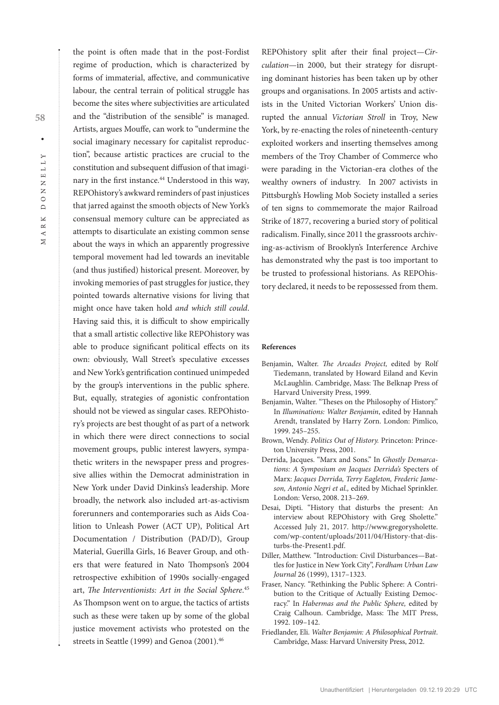$\geq$ 

**58**

the point is often made that in the post-Fordist regime of production, which is characterized by forms of immaterial, affective, and communicative labour, the central terrain of political struggle has become the sites where subjectivities are articulated and the "distribution of the sensible" is managed. Artists, argues Mouffe, can work to "undermine the social imaginary necessary for capitalist reproduction", because artistic practices are crucial to the constitution and subsequent diffusion of that imaginary in the first instance.<sup>44</sup> Understood in this way, REPOhistory's awkward reminders of past injustices that jarred against the smooth objects of New York's consensual memory culture can be appreciated as attempts to disarticulate an existing common sense about the ways in which an apparently progressive temporal movement had led towards an inevitable (and thus justified) historical present. Moreover, by invoking memories of past struggles for justice, they pointed towards alternative visions for living that might once have taken hold *and which still could*. Having said this, it is difficult to show empirically that a small artistic collective like REPOhistory was able to produce significant political effects on its own: obviously, Wall Street's speculative excesses and New York's gentrification continued unimpeded by the group's interventions in the public sphere. But, equally, strategies of agonistic confrontation should not be viewed as singular cases. REPOhistory's projects are best thought of as part of a network in which there were direct connections to social movement groups, public interest lawyers, sympathetic writers in the newspaper press and progressive allies within the Democrat administration in New York under David Dinkins's leadership. More broadly, the network also included art-as-activism forerunners and contemporaries such as Aids Coalition to Unleash Power (ACT UP), Political Art Documentation / Distribution (PAD/D), Group Material, Guerilla Girls, 16 Beaver Group, and others that were featured in Nato Thompson's 2004 retrospective exhibition of 1990s socially-engaged art, *The Interventionists: Art in the Social Sphere*. 45 As Thompson went on to argue, the tactics of artists such as these were taken up by some of the global justice movement activists who protested on the streets in Seattle (1999) and Genoa (2001).<sup>46</sup>

REPOhistory split after their final project—*Circulation*—in 2000, but their strategy for disrupting dominant histories has been taken up by other groups and organisations. In 2005 artists and activists in the United Victorian Workers' Union disrupted the annual *Victorian Stroll* in Troy, New York, by re-enacting the roles of nineteenth-century exploited workers and inserting themselves among members of the Troy Chamber of Commerce who were parading in the Victorian-era clothes of the wealthy owners of industry. In 2007 activists in Pittsburgh's Howling Mob Society installed a series of ten signs to commemorate the major Railroad Strike of 1877, recovering a buried story of political radicalism. Finally, since 2011 the grassroots archiving-as-activism of Brooklyn's Interference Archive has demonstrated why the past is too important to be trusted to professional historians. As REPOhistory declared, it needs to be repossessed from them.

#### **References**

- Benjamin, Walter. *The Arcades Project,* edited by Rolf Tiedemann, translated by Howard Eiland and Kevin McLaughlin. Cambridge, Mass: The Belknap Press of Harvard University Press, 1999.
- Benjamin, Walter. "Theses on the Philosophy of History." In *Illuminations: Walter Benjamin*, edited by Hannah Arendt, translated by Harry Zorn. London: Pimlico, 1999. 245–255.
- Brown, Wendy. *Politics Out of History.* Princeton: Princeton University Press, 2001.
- Derrida, Jacques. "Marx and Sons." In *Ghostly Demarcations: A Symposium on Jacques Derrida's* Specters of Marx: *Jacques Derrida, Terry Eagleton, Frederic Jameson, Antonio Negri et al.,* edited by Michael Sprinkler. London: Verso, 2008. 213–269.
- Desai, Dipti. "History that disturbs the present: An interview about REPOhistory with Greg Sholette." Accessed July 21, 2017. [http://www.gregorysholette.](http://www.gregorysholette.com/wp-content/uploads/2011/04/History-that-disturbs-the-Present1.pdf) [com/wp-content/uploads/2011/04/History-that-dis](http://www.gregorysholette.com/wp-content/uploads/2011/04/History-that-disturbs-the-Present1.pdf)[turbs-the-Present1.pdf.](http://www.gregorysholette.com/wp-content/uploads/2011/04/History-that-disturbs-the-Present1.pdf)
- Diller, Matthew. "Introduction: Civil Disturbances—Battles for Justice in New York City", *Fordham Urban Law Journal* 26 (1999), 1317–1323.
- Fraser, Nancy. "Rethinking the Public Sphere: A Contribution to the Critique of Actually Existing Democracy." In *Habermas and the Public Sphere,* edited by Craig Calhoun. Cambridge, Mass: The MIT Press, 1992. 109–142.
- Friedlander, Eli. *Walter Benjamin: A Philosophical Portrait*. Cambridge, Mass: Harvard University Press, 2012.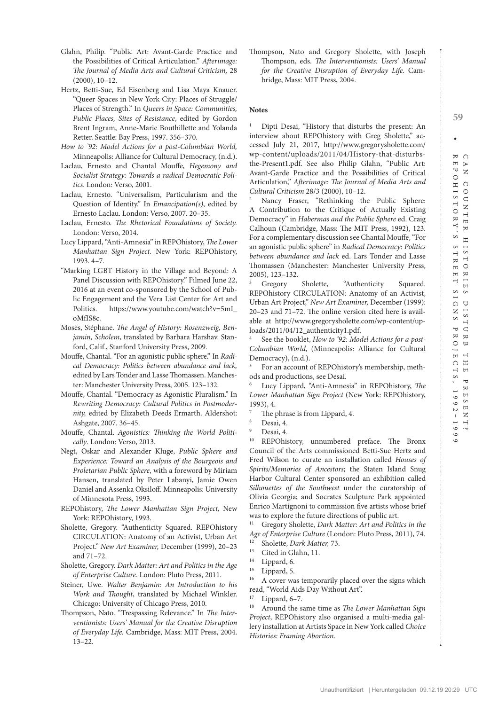- Glahn, Philip. "Public Art: Avant-Garde Practice and the Possibilities of Critical Articulation." *Afterimage: The Journal of Media Arts and Cultural Criticism,* 28 (2000), 10–12.
- Hertz, Betti-Sue, Ed Eisenberg and Lisa Maya Knauer. "Queer Spaces in New York City: Places of Struggle/ Places of Strength." In *Queers in Space: Communities, Public Places, Sites of Resistance*, edited by Gordon Brent Ingram, Anne-Marie Bouthillette and Yolanda Retter. Seattle: Bay Press, 1997. 356–370.
- *How to '92: Model Actions for a post-Columbian World,*  Minneapolis: Alliance for Cultural Democracy, (n.d.).
- Laclau, Ernesto and Chantal Mouffe, *Hegemony and Socialist Strategy: Towards a radical Democratic Politics*. London: Verso, 2001.
- Laclau, Ernesto. "Universalism, Particularism and the Question of Identity." In *Emancipation(s)*, edited by Ernesto Laclau. London: Verso, 2007. 20–35.
- Laclau, Ernesto. *The Rhetorical Foundations of Society.* London: Verso, 2014.
- Lucy Lippard, "Anti-Amnesia" in REPOhistory, *The Lower Manhattan Sign Project.* New York: REPOhistory, 1993. 4–7.
- "Marking LGBT History in the Village and Beyond: A Panel Discussion with REPOhistory." Filmed June 22, 2016 at an event co-sponsored by the School of Public Engagement and the Vera List Center for Art and Politics. [https://www.youtube.com/watch?v=5mI\\_](https://www.youtube.com/watch?v=5mI_oMfIS8c) [oMfIS8c.](https://www.youtube.com/watch?v=5mI_oMfIS8c)
- Mosès, Stéphane. *The Angel of History: Rosenzweig, Benjamin, Scholem*, translated by Barbara Harshav. Stanford, Calif., Stanford University Press, 2009.
- Mouffe, Chantal. "For an agonistic public sphere." In *Radical Democracy: Politics between abundance and lack,*  edited by Lars Tonder and Lasse Thomassen. Manchester: Manchester University Press, 2005. 123–132.
- Mouffe, Chantal. "Democracy as Agonistic Pluralism." In *Rewriting Democracy: Cultural Politics in Postmodernity,* edited by Elizabeth Deeds Ermarth. Aldershot: Ashgate, 2007. 36–45.
- Mouffe, Chantal. *Agonistics: Thinking the World Politically*. London: Verso, 2013.
- Negt, Oskar and Alexander Kluge, *Public Sphere and Experience: Toward an Analysis of the Bourgeois and Proletarian Public Sphere*, with a foreword by Miriam Hansen, translated by Peter Labanyi, Jamie Owen Daniel and Assenka Oksiloff. Minneapolis: University of Minnesota Press, 1993.
- REPOhistory, *The Lower Manhattan Sign Project,* New York: REPOhistory, 1993.
- Sholette, Gregory. "Authenticity Squared. REPOhistory CIRCULATION: Anatomy of an Activist, Urban Art Project." *New Art Examiner,* December (1999), 20–23 and 71–72.
- Sholette, Gregory. *Dark Matter: Art and Politics in the Age of Enterprise Culture.* London: Pluto Press, 2011.
- Steiner, Uwe. *Walter Benjamin: An Introduction to his Work and Thought*, translated by Michael Winkler. Chicago: University of Chicago Press, 2010.
- Thompson, Nato. "Trespassing Relevance." In *The Interventionists: Users' Manual for the Creative Disruption of Everyday Life.* Cambridge, Mass: MIT Press, 2004.  $13 - 22$ .

Thompson, Nato and Gregory Sholette, with Joseph Thompson, eds. *The Interventionists: Users' Manual for the Creative Disruption of Everyday Life.* Cambridge, Mass: MIT Press, 2004.

#### **Notes**

1 Dipti Desai, "History that disturbs the present: An interview about REPOhistory with Greg Sholette," accessed July 21, 2017, [http://www.gregorysholette.com/](http://www.gregorysholette.com/wp-content/uploads/2011/04/History-that-disturbs-the-Present1.pdf) [wp-content/uploads/2011/04/History-that-disturbs](http://www.gregorysholette.com/wp-content/uploads/2011/04/History-that-disturbs-the-Present1.pdf)[the-Present1.pdf](http://www.gregorysholette.com/wp-content/uploads/2011/04/History-that-disturbs-the-Present1.pdf). See also Philip Glahn, "Public Art: Avant-Garde Practice and the Possibilities of Critical Articulation," *Afterimage: The Journal of Media Arts and Cultural Criticism* 28/3 (2000), 10–12.

Nancy Fraser, "Rethinking the Public Sphere: A Contribution to the Critique of Actually Existing Democracy" in *Habermas and the Public Sphere* ed. Craig Calhoun (Cambridge, Mass: The MIT Press, 1992), 123. For a complementary discussion see Chantal Mouffe, "For an agonistic public sphere" in *Radical Democracy: Politics between abundance and lack* ed. Lars Tonder and Lasse Thomassen (Manchester: Manchester University Press, 2005), 123–132.

Gregory Sholette, "Authenticity Squared. REPOhistory CIRCULATION: Anatomy of an Activist, Urban Art Project," *New Art Examiner,* December (1999): 20–23 and 71–72. The online version cited here is available at [http://www.gregorysholette.com/wp-content/up](http://www.gregorysholette.com/wp-content/uploads/2011/04/12_authenticity1.pdf)[loads/2011/04/12\\_authenticity1.pdf.](http://www.gregorysholette.com/wp-content/uploads/2011/04/12_authenticity1.pdf)

See the booklet, *How to '92: Model Actions for a post-Columbian World*, (Minneapolis: Alliance for Cultural Democracy), (n.d.).

5 For an account of REPOhistory's membership, methods and productions, see Desai.

6 Lucy Lippard, "Anti-Amnesia" in REPOhistory, *The Lower Manhattan Sign Project* (New York: REPOhistory, 1993), 4.

- The phrase is from Lippard, 4.
- Desai, 4.
- $^{9}$  Desai, 4.

REPOhistory, unnumbered preface. The Bronx Council of the Arts commissioned Betti-Sue Hertz and Fred Wilson to curate an installation called *Houses of Spirits/Memories of Ancestors*; the Staten Island Snug Harbor Cultural Center sponsored an exhibition called *Silhouettes of the Southwest* under the curatorship of Olivia Georgia; and Socrates Sculpture Park appointed Enrico Martignoni to commission five artists whose brief was to explore the future directions of public art.

11 Gregory Sholette, *Dark Matter: Art and Politics in the Age of Enterprise Culture* (London: Pluto Press, 2011), 74.

- <sup>12</sup> Sholette, *Dark Matter*, 73.
- <sup>13</sup> Cited in Glahn, 11.
- Lippard, 6.
- $\frac{15}{16}$  Lippard, 5.

16 A cover was temporarily placed over the signs which read, "World Aids Day Without Art".

<sup>17</sup> Lippard,  $6-7$ .<br><sup>18</sup> Around the s

18 Around the same time as *The Lower Manhattan Sign Project*, REPOhistory also organised a multi-media gallery installation at Artists Space in New York called *Choice Histories: Framing Abortion*.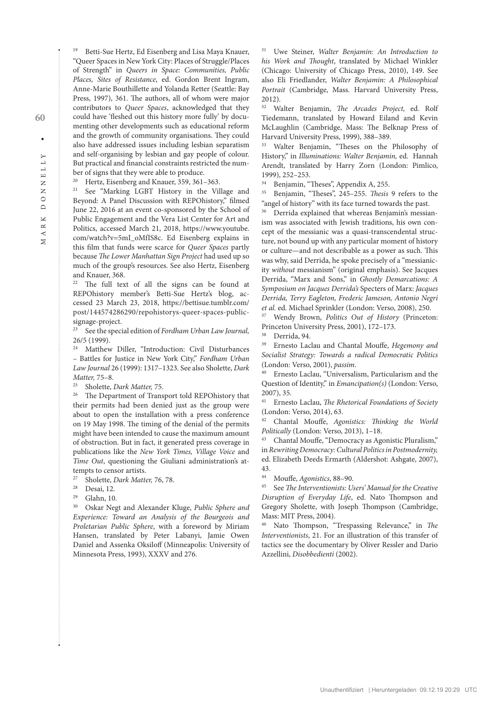19 Betti-Sue Hertz, Ed Eisenberg and Lisa Maya Knauer, "Queer Spaces in New York City: Places of Struggle/Places of Strength" in *Queers in Space: Communities, Public Places, Sites of Resistance*, ed. Gordon Brent Ingram, Anne-Marie Bouthillette and Yolanda Retter (Seattle: Bay Press, 1997), 361. The authors, all of whom were major contributors to *Queer Spaces*, acknowledged that they could have 'fleshed out this history more fully' by documenting other developments such as educational reform and the growth of community organisations. They could also have addressed issues including lesbian separatism and self-organising by lesbian and gay people of colour. But practical and financial constraints restricted the number of signs that they were able to produce.

<sup>20</sup> Hertz, Eisenberg and Knauer, 359, 361-363.

21 See "Marking LGBT History in the Village and Beyond: A Panel Discussion with REPOhistory," filmed June 22, 2016 at an event co-sponsored by the School of Public Engagement and the Vera List Center for Art and Politics, accessed March 21, 2018, [https://www.youtube.](https://www.youtube.com/watch?v=5mI_oMfIS8c) [com/watch?v=5mI\\_oMfIS8c.](https://www.youtube.com/watch?v=5mI_oMfIS8c) Ed Eisenberg explains in this film that funds were scarce for *Queer Spaces* partly because *The Lower Manhattan Sign Project* had used up so much of the group's resources. See also Hertz, Eisenberg and Knauer, 368.

22 The full text of all the signs can be found at REPOhistory member's Betti-Sue Hertz's blog, accessed 23 March 23, 2018, [https://bettisue.tumblr.com/](https://bettisue.tumblr.com/post/144574286290/repohistorys-queer-spaces-public-signage-project) [post/144574286290/repohistorys-queer-spaces-public](https://bettisue.tumblr.com/post/144574286290/repohistorys-queer-spaces-public-signage-project)[signage-project](https://bettisue.tumblr.com/post/144574286290/repohistorys-queer-spaces-public-signage-project).

23 See the special edition of *Fordham Urban Law Journal,*  26/5 (1999).

24 Matthew Diller, "Introduction: Civil Disturbances – Battles for Justice in New York City," *Fordham Urban Law Journal* 26 (1999): 1317–1323. See also Sholette, *Dark Matter,* 75–8.

<sup>25</sup> Sholette, *Dark Matter*, 75.<br><sup>26</sup> The Department of Trans

The Department of Transport told REPOhistory that their permits had been denied just as the group were about to open the installation with a press conference on 19 May 1998. The timing of the denial of the permits might have been intended to cause the maximum amount of obstruction. But in fact, it generated press coverage in publications like the *New York Times, Village Voice* and *Time Out*, questioning the Giuliani administration's attempts to censor artists.

27 Sholette, *Dark Matter,* 76, 78.

 $^{28}$  Desai, 12.<br> $^{29}$  Clahn 10

<sup>29</sup> Glahn, 10.<br><sup>30</sup> Oskar Negt and Alexander Kluge, *Public Sphere and Experience: Toward an Analysis of the Bourgeois and Proletarian Public Sphere*, with a foreword by Miriam Hansen, translated by Peter Labanyi, Jamie Owen Daniel and Assenka Oksiloff (Minneapolis: University of Minnesota Press, 1993), XXXV and 276.

31 Uwe Steiner, *Walter Benjamin: An Introduction to his Work and Thought*, translated by Michael Winkler (Chicago: University of Chicago Press, 2010), 149. See also Eli Friedlander, *Walter Benjamin: A Philosophical Portrait* (Cambridge, Mass. Harvard University Press, 2012).

32 Walter Benjamin, *The Arcades Project,* ed. Rolf Tiedemann, translated by Howard Eiland and Kevin McLaughlin (Cambridge, Mass: The Belknap Press of Harvard University Press, 1999), 388–389.

33 Walter Benjamin, "Theses on the Philosophy of History," in *Illuminations: Walter Benjamin,* ed. Hannah Arendt, translated by Harry Zorn (London: Pimlico, 1999), 252–253.<br><sup>34</sup> Benjamin, "Theses", Appendix A, 255.

<sup>35</sup> Benjamin, "Theses", 245-255. *Thesis* 9 refers to the "angel of history" with its face turned towards the past.

Derrida explained that whereas Benjamin's messianism was associated with Jewish traditions, his own concept of the messianic was a quasi-transcendental structure, not bound up with any particular moment of history or culture—and not describable as a power as such. This was why, said Derrida, he spoke precisely of a "messianicity *without* messianism" (original emphasis). See Jacques Derrida, "Marx and Sons," in *Ghostly Demarcations: A Symposium on Jacques Derrida's* Specters of Marx: *Jacques Derrida, Terry Eagleton, Frederic Jameson, Antonio Negri et al.* ed. Michael Sprinkler (London: Verso, 2008), 250.

37 Wendy Brown, *Politics Out of History* (Princeton: Princeton University Press, 2001), 172–173.<br><sup>38</sup> Devrida 04.

Derrida, 94.

39 Ernesto Laclau and Chantal Mouffe, *Hegemony and Socialist Strategy: Towards a radical Democratic Politics*  (London: Verso, 2001), *passim*.

40 Ernesto Laclau, "Universalism, Particularism and the Question of Identity," in *Emancipation(s)* (London: Verso,  $2007$ ), 35.<br><sup>41</sup> Ernest

41 Ernesto Laclau, *The Rhetorical Foundations of Society*  (London: Verso, 2014), 63.

42 Chantal Mouffe, *Agonistics: Thinking the World Politically* (London: Verso, 2013), 1–18.

Chantal Mouffe, "Democracy as Agonistic Pluralism," in *Rewriting Democracy: Cultural Politics in Postmodernity,*  ed. Elizabeth Deeds Ermarth (Aldershot: Ashgate, 2007), 43.

44 Mouffe, *Agonistics*, 88–90.

45 See *The Interventionists: Users' Manual for the Creative Disruption of Everyday Life*, ed. Nato Thompson and Gregory Sholette, with Joseph Thompson (Cambridge, Mass: MIT Press, 2004).

Nato Thompson, "Trespassing Relevance," in The *Interventionists*, 21. For an illustration of this transfer of tactics see the documentary by Oliver Ressler and Dario Azzellini, *Disobbedienti* (2002).

 $\circ$  $\Box$  $\overline{\mathbb{X}}$  $\approx$  $\prec$  $\geq$ 

**60**